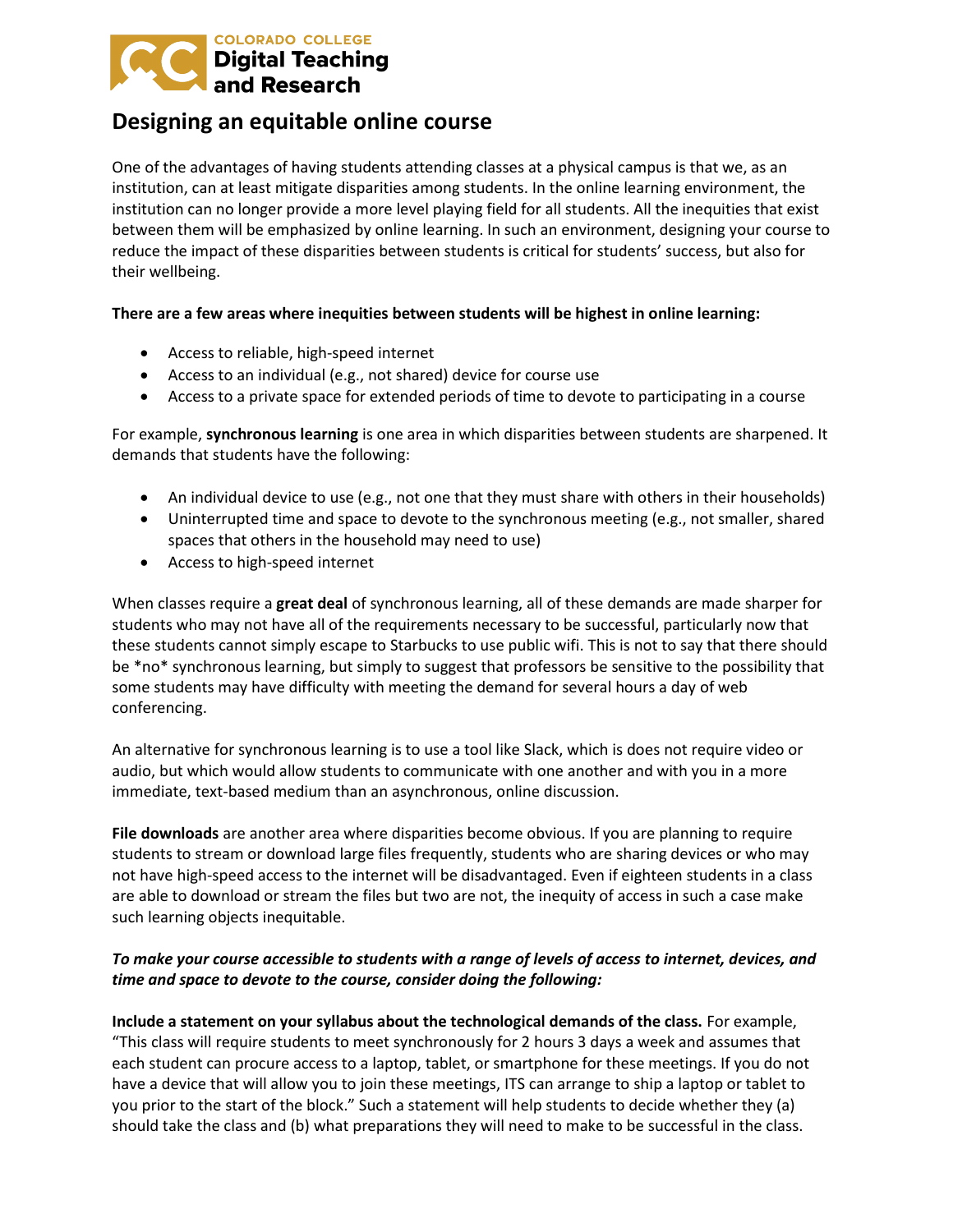

## **Designing an equitable online course**

One of the advantages of having students attending classes at a physical campus is that we, as an institution, can at least mitigate disparities among students. In the online learning environment, the institution can no longer provide a more level playing field for all students. All the inequities that exist between them will be emphasized by online learning. In such an environment, designing your course to reduce the impact of these disparities between students is critical for students' success, but also for their wellbeing.

## **There are a few areas where inequities between students will be highest in online learning:**

- Access to reliable, high-speed internet
- Access to an individual (e.g., not shared) device for course use
- Access to a private space for extended periods of time to devote to participating in a course

For example, **synchronous learning** is one area in which disparities between students are sharpened. It demands that students have the following:

- An individual device to use (e.g., not one that they must share with others in their households)
- Uninterrupted time and space to devote to the synchronous meeting (e.g., not smaller, shared spaces that others in the household may need to use)
- Access to high-speed internet

When classes require a **great deal** of synchronous learning, all of these demands are made sharper for students who may not have all of the requirements necessary to be successful, particularly now that these students cannot simply escape to Starbucks to use public wifi. This is not to say that there should be \*no\* synchronous learning, but simply to suggest that professors be sensitive to the possibility that some students may have difficulty with meeting the demand for several hours a day of web conferencing.

An alternative for synchronous learning is to use a tool like Slack, which is does not require video or audio, but which would allow students to communicate with one another and with you in a more immediate, text-based medium than an asynchronous, online discussion.

**File downloads** are another area where disparities become obvious. If you are planning to require students to stream or download large files frequently, students who are sharing devices or who may not have high-speed access to the internet will be disadvantaged. Even if eighteen students in a class are able to download or stream the files but two are not, the inequity of access in such a case make such learning objects inequitable.

## *To make your course accessible to students with a range of levels of access to internet, devices, and time and space to devote to the course, consider doing the following:*

**Include a statement on your syllabus about the technological demands of the class.** For example, "This class will require students to meet synchronously for 2 hours 3 days a week and assumes that each student can procure access to a laptop, tablet, or smartphone for these meetings. If you do not have a device that will allow you to join these meetings, ITS can arrange to ship a laptop or tablet to you prior to the start of the block." Such a statement will help students to decide whether they (a) should take the class and (b) what preparations they will need to make to be successful in the class.